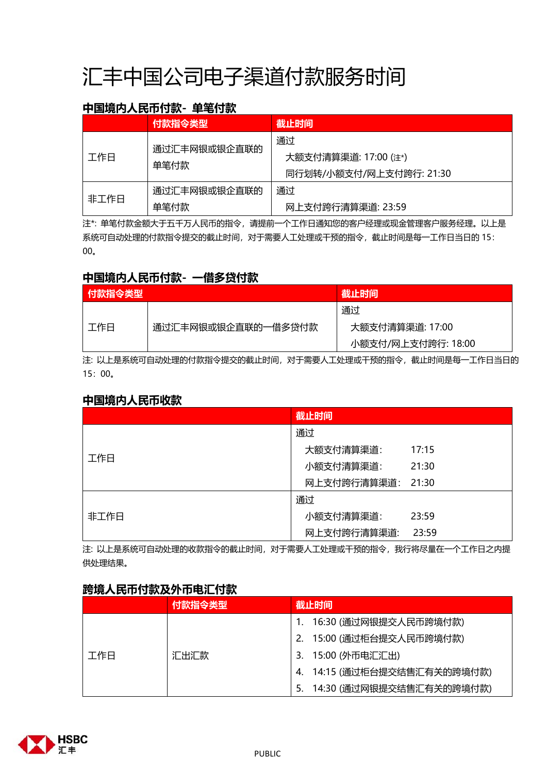# 汇丰中国公司电子渠道付款服务时间

## **中国境内人民币付款- 单笔付款**

|      | 付款指令类型               | 截止时间                    |  |
|------|----------------------|-------------------------|--|
| 工作日  | 通过汇丰网银或银企直联的<br>单笔付款 | 通过                      |  |
|      |                      | 大额支付清算渠道: 17:00 (注*)    |  |
|      |                      | 同行划转/小额支付/网上支付跨行: 21:30 |  |
|      | 通过汇丰网银或银企直联的         | 通过                      |  |
| 非工作日 | 单笔付款                 | 网上支付跨行清算渠道: 23:59       |  |

注\*: 单笔付款金额大于五千万人民币的指令,请提前一个工作日通知您的客户经理或现金管理客户服务经理。以上是 系统可自动处理的付款指令提交的截止时间,对于需要人工处理或干预的指令,截止时间是每一工作日当日的 15: 00。

### **中国境内人民币付款- 一借多贷付款**

| 【付款指令类型】 |                    | 截止时间               |
|----------|--------------------|--------------------|
|          |                    | 通过                 |
| 工作日      | 通过汇丰网银或银企直联的一借多贷付款 | 大额支付清算渠道: 17:00    |
|          |                    | 小额支付/网上支付跨行: 18:00 |

注: 以上是系统可自动处理的付款指令提交的截止时间,对于需要人工处理或干预的指令,截止时间是每一工作日当日的 15:00。

### **中国境内人民币收款**

|      | 截止时间        |       |
|------|-------------|-------|
|      | 通过          |       |
|      | 大额支付清算渠道:   | 17:15 |
| 工作日  | 小额支付清算渠道:   | 21:30 |
|      | 网上支付跨行清算渠道: | 21:30 |
|      | 通过          |       |
| 非工作日 | 小额支付清算渠道:   | 23:59 |
|      | 网上支付跨行清算渠道: | 23:59 |

注: 以上是系统可自动处理的收款指令的截止时间,对于需要人工处理或干预的指令,我行将尽量在一个工作日之内提 供处理结果。

### **跨境人民币付款及外币电汇付款**

|     | 付款指令类型 | 截止时间                        |  |
|-----|--------|-----------------------------|--|
|     |        | 16:30 (通过网银提交人民币跨境付款)       |  |
|     | 汇出汇款   | 2. 15:00 (通过柜台提交人民币跨境付款)    |  |
| 工作日 |        | 3. 15:00 (外币电汇汇出)           |  |
|     |        | 4. 14:15 (通过柜台提交结售汇有关的跨境付款) |  |
|     |        | 5. 14:30 (通过网银提交结售汇有关的跨境付款) |  |

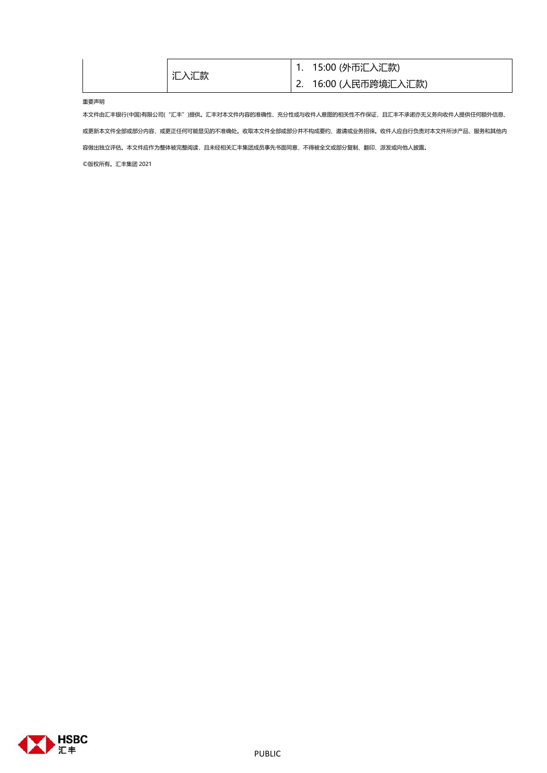| 汇入汇款 | 1. 15:00 (外币汇入汇款)     |
|------|-----------------------|
|      | Ⅰ2. 16:00 (人民币跨境汇入汇款) |

### 重要声明

本文件由汇丰银行(中国)有限公司("汇丰")提供。汇丰对本文件内容的准确性、充分性或与收件人意图的相关性不作保证,且汇丰不承诺亦无义务向收件人提供任何额外信息、 或更新本文件全部或部分内容、或更正任何可能显见的不准确处。收取本文件全部或部分并不构成要约、邀请或业务招徕。收件人应自行负责对本文件所涉产品、服务和其他内 容做出独立评估。本文件应作为整体被完整阅读,且未经相关汇丰集团成员事先书面同意,不得被全文或部分复制、翻印、派发或向他人披露。 ©版权所有。汇丰集团 2021

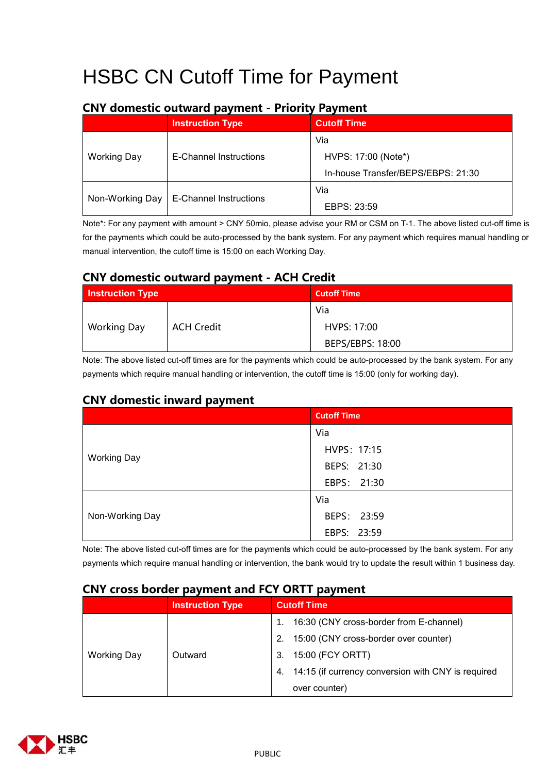## HSBC CN Cutoff Time for Payment

|                    | <b>Instruction Type</b>       | <b>Cutoff Time</b>                 |
|--------------------|-------------------------------|------------------------------------|
|                    |                               | Via                                |
| <b>Working Day</b> | E-Channel Instructions        | HVPS: 17:00 (Note*)                |
|                    |                               | In-house Transfer/BEPS/EBPS: 21:30 |
|                    | <b>E-Channel Instructions</b> | Via                                |
| Non-Working Day    |                               | EBPS: 23:59                        |

### **CNY domestic outward payment - Priority Payment**

Note\*: For any payment with amount > CNY 50mio, please advise your RM or CSM on T-1. The above listed cut-off time is for the payments which could be auto-processed by the bank system. For any payment which requires manual handling or manual intervention, the cutoff time is 15:00 on each Working Day.

### **CNY domestic outward payment - ACH Credit**

| <b>Instruction Type</b> |                   | <b>Cutoff Time</b> |
|-------------------------|-------------------|--------------------|
|                         |                   | Via                |
| <b>Working Day</b>      | <b>ACH Credit</b> | HVPS: 17:00        |
|                         |                   | BEPS/EBPS: 18:00   |

Note: The above listed cut-off times are for the payments which could be auto-processed by the bank system. For any payments which require manual handling or intervention, the cutoff time is 15:00 (only for working day).

### **CNY domestic inward payment**

|                    | <b>Cutoff Time</b> |
|--------------------|--------------------|
|                    | Via                |
|                    | HVPS: 17:15        |
| <b>Working Day</b> | BEPS: 21:30        |
|                    | EBPS: 21:30        |
|                    | Via                |
| Non-Working Day    | BEPS: 23:59        |
|                    | EBPS: 23:59        |

Note: The above listed cut-off times are for the payments which could be auto-processed by the bank system. For any payments which require manual handling or intervention, the bank would try to update the result within 1 business day.

### **CNY cross border payment and FCY ORTT payment**

|                    | <b>Instruction Type</b> | <b>Cutoff Time</b>                                       |  |
|--------------------|-------------------------|----------------------------------------------------------|--|
|                    |                         | 16:30 (CNY cross-border from E-channel)                  |  |
|                    | Outward                 | 15:00 (CNY cross-border over counter)<br>2.              |  |
| <b>Working Day</b> |                         | 15:00 (FCY ORTT)<br>3.                                   |  |
|                    |                         | 14:15 (if currency conversion with CNY is required<br>4. |  |
|                    |                         | over counter)                                            |  |